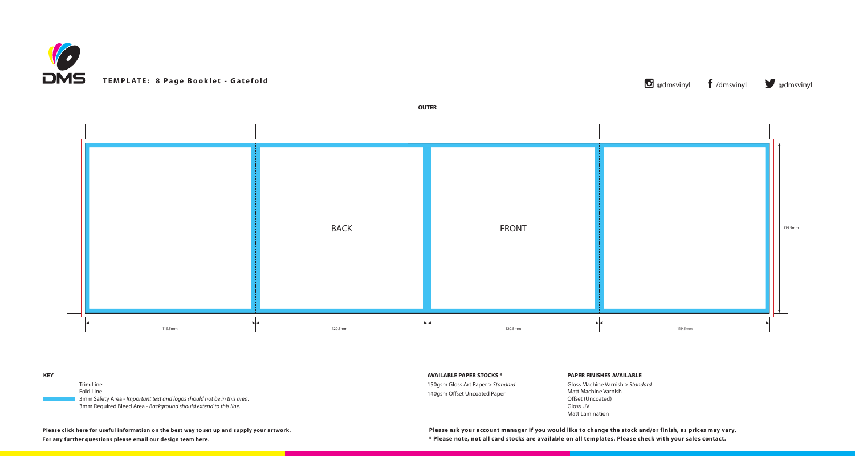

| <b>KEY</b>                                                                                                                                                                  | <b>AVAILABLE</b> |
|-----------------------------------------------------------------------------------------------------------------------------------------------------------------------------|------------------|
| Trim Line                                                                                                                                                                   | 150gsm Glo       |
| ---------<br><b>Fold Line</b><br>3mm Safety Area - Important text and logos should not be in this area.<br>3mm Required Bleed Area - Background should extend to this line. | 140gsm Off       |



## **PAPER FINISHES AVAILABLE**

Gloss Machine Varnish *> Standard* Matt Machine Varnish Offset (Uncoated) Gloss UV Matt Lamination

**For any further questions please email our design team [here.](mailto:graphics%40discmanufacturingservices.com?subject=Template%20Enquiry)**

**Please click [here](https://www.discmanufacturingservices.com/cd/templates#artwork-specifications) for useful information on the best way to set up and supply your artwork.**

**\* Please note, not all card stocks are available on all templates. Please check with your sales contact. Please ask your account manager if you would like to change the stock and/or finish, as prices may vary.**

## **E PAPER STOCKS \***

loss Art Paper *> Standard* fset Uncoated Paper